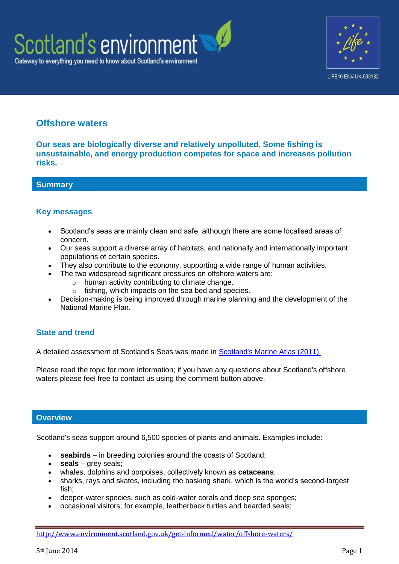



# **Offshore waters**

**Our seas are biologically diverse and relatively unpolluted. Some fishing is unsustainable, and energy production competes for space and increases pollution risks.**

## **Summary**

## **Key messages**

- Scotland's seas are mainly clean and safe, although there are some localised areas of concern.
- Our seas support a diverse array of habitats, and nationally and internationally important populations of certain species.
- They also contribute to the economy, supporting a wide range of human activities.
- The two widespread significant pressures on offshore waters are:
	- o human activity contributing to climate change.
	- o fishing, which impacts on the sea bed and species.
- Decision-making is being improved through marine planning and the development of the National Marine Plan.

# **State and trend**

A detailed assessment of Scotland's Seas was made in [Scotland's Marine Atlas \(2011\).](http://www.scotland.gov.uk/Publications/2011/03/16182005/0)

Please read the topic for more information; if you have any questions about Scotland's offshore waters please feel free to contact us using the comment button above.

## **Overview**

Scotland's seas support around 6,500 species of plants and animals. Examples include:

- **seabirds** in breeding colonies around the coasts of Scotland;
- **seals** grey seals;
- whales, dolphins and porpoises, collectively known as **cetaceans**;
- sharks, rays and skates, including the basking shark, which is the world's second-largest fish;
- deeper-water species, such as cold-water corals and deep sea sponges;
- occasional visitors; for example, leatherback turtles and bearded seals;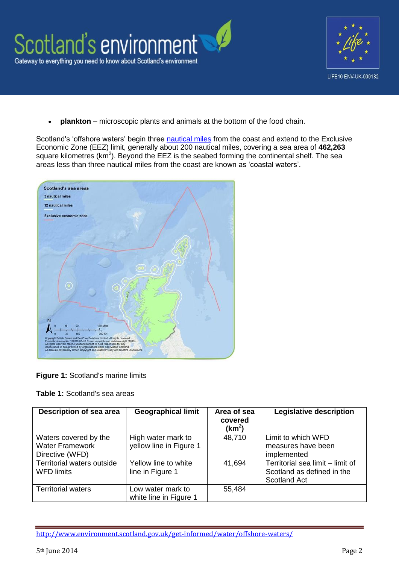

**plankton** – microscopic plants and animals at the bottom of the food chain.

Scotland's 'offshore waters' begin three [nautical miles](http://geography.about.com/od/learnabouttheearth/a/nauticalmiles.htm) from the coast and extend to the Exclusive Economic Zone (EEZ) limit, generally about 200 nautical miles, covering a sea area of **462,263** square kilometres ( $km^2$ ). Beyond the EEZ is the seabed forming the continental shelf. The sea areas less than three nautical miles from the coast are known as 'coastal waters'.



**Figure 1:** Scotland's marine limits

|  |  |  | <b>Table 1: Scotland's sea areas</b> |  |  |
|--|--|--|--------------------------------------|--|--|
|--|--|--|--------------------------------------|--|--|

| Description of sea area                                            | <b>Geographical limit</b>                     | Area of sea<br>covered<br>(km <sup>2</sup> ) | <b>Legislative description</b>                                                        |
|--------------------------------------------------------------------|-----------------------------------------------|----------------------------------------------|---------------------------------------------------------------------------------------|
| Waters covered by the<br><b>Water Framework</b><br>Directive (WFD) | High water mark to<br>yellow line in Figure 1 | 48,710                                       | Limit to which WFD<br>measures have been<br>implemented                               |
| Territorial waters outside<br><b>WFD limits</b>                    | Yellow line to white<br>line in Figure 1      | 41,694                                       | Territorial sea limit - limit of<br>Scotland as defined in the<br><b>Scotland Act</b> |
| <b>Territorial waters</b>                                          | Low water mark to<br>white line in Figure 1   | 55,484                                       |                                                                                       |

<http://www.environment.scotland.gov.uk/get-informed/water/offshore-waters/>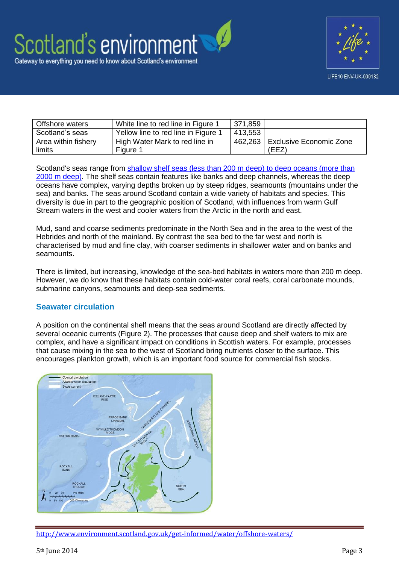

| Offshore waters     | White line to red line in Figure 1  | 371,859 |                                |
|---------------------|-------------------------------------|---------|--------------------------------|
| Scotland's seas     | Yellow line to red line in Figure 1 | 413,553 |                                |
| Area within fishery | High Water Mark to red line in      | 462,263 | <b>Exclusive Economic Zone</b> |
| limits              | Figure 1                            |         | (EEZ)                          |

Scotland's seas range from [shallow shelf seas \(less than 200 m deep\) to deep oceans \(more than](http://www.scotland.gov.uk/Publications/2011/03/16182005/23)  [2000 m deep\).](http://www.scotland.gov.uk/Publications/2011/03/16182005/23) The shelf seas contain features like banks and deep channels, whereas the deep oceans have complex, varying depths broken up by steep ridges, seamounts (mountains under the sea) and banks. The seas around Scotland contain a wide variety of habitats and species. This diversity is due in part to the geographic position of Scotland, with influences from warm Gulf Stream waters in the west and cooler waters from the Arctic in the north and east.

Mud, sand and coarse sediments predominate in the North Sea and in the area to the west of the Hebrides and north of the mainland. By contrast the sea bed to the far west and north is characterised by mud and fine clay, with coarser sediments in shallower water and on banks and seamounts.

There is limited, but increasing, knowledge of the sea-bed habitats in waters more than 200 m deep. However, we do know that these habitats contain cold-water coral reefs, coral carbonate mounds, submarine canyons, seamounts and deep-sea sediments.

# **Seawater circulation**

A position on the continental shelf means that the seas around Scotland are directly affected by several oceanic currents (Figure 2). The processes that cause deep and shelf waters to mix are complex, and have a significant impact on conditions in Scottish waters. For example, processes that cause mixing in the sea to the west of Scotland bring nutrients closer to the surface. This encourages plankton growth, which is an important food source for commercial fish stocks.



<http://www.environment.scotland.gov.uk/get-informed/water/offshore-waters/>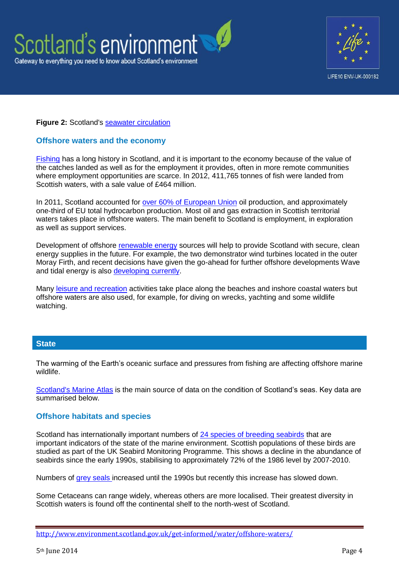



## **Figure 2:** Scotland's [seawater circulation](http://www.scotland.gov.uk/Publications/2011/03/16182005/25)

# **Offshore waters and the economy**

[Fishing](http://www.scotland.gov.uk/Publications/2011/03/16182005/63) has a long history in Scotland, and it is important to the economy because of the value of the catches landed as well as for the employment it provides, often in more remote communities where employment opportunities are scarce. In 2012, 411,765 tonnes of fish were landed from Scottish waters, with a sale value of £464 million.

In 2011, Scotland accounted for [over 60% of European Union](http://www.scotland.gov.uk/Resource/0041/00416072.pdf) oil production, and approximately one-third of EU total hydrocarbon production. Most oil and gas extraction in Scottish territorial waters takes place in offshore waters. The main benefit to Scotland is employment, in exploration as well as support services.

Development of offshore [renewable energy](http://www.scotland.gov.uk/Publications/2011/03/16182005/68) sources will help to provide Scotland with secure, clean energy supplies in the future. For example, the two demonstrator wind turbines located in the outer Moray Firth, and recent decisions have given the go-ahead for further offshore developments Wave and tidal energy is also [developing currently.](http://www.scotland.gov.uk/Topics/marine/marineenergy)

Many [leisure and recreation](http://www.scotland.gov.uk/Publications/2011/03/16182005/65) activities take place along the beaches and inshore coastal waters but offshore waters are also used, for example, for diving on wrecks, yachting and some wildlife watching.

## **State**

The warming of the Earth's oceanic surface and pressures from fishing are affecting offshore marine wildlife.

[Scotland's Marine Atlas](http://www.scotland.gov.uk/Publications/2011/03/16182005/0) is the main source of data on the condition of Scotland's seas. Key data are summarised below.

## **Offshore habitats and species**

Scotland has internationally important numbers of [24 species of breeding seabirds](http://www.scotland.gov.uk/Publications/2011/03/16182005/56) that are important indicators of the state of the marine environment. Scottish populations of these birds are studied as part of the UK Seabird Monitoring Programme. This shows a decline in the abundance of seabirds since the early 1990s, stabilising to approximately 72% of the 1986 level by 2007-2010.

Numbers of [grey seals i](http://www.scotland.gov.uk/Publications/2011/03/16182005/54)ncreased until the 1990s but recently this increase has slowed down.

Some Cetaceans can range widely, whereas others are more localised. Their greatest diversity in Scottish waters is found off the continental shelf to the north-west of Scotland.

<http://www.environment.scotland.gov.uk/get-informed/water/offshore-waters/>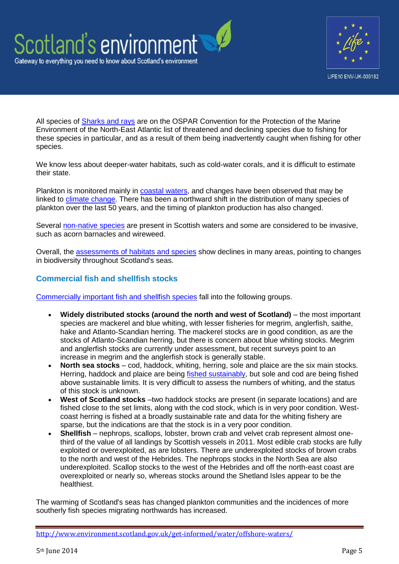



All species of **Sharks and rays** are on the OSPAR Convention for the Protection of the Marine Environment of the North-East Atlantic list of threatened and declining species due to fishing for these species in particular, and as a result of them being inadvertently caught when fishing for other species.

We know less about deeper-water habitats, such as cold-water corals, and it is difficult to estimate their state.

Plankton is monitored mainly in [coastal waters,](http://www.environment.scotland.gov.uk/get-informed/water/coastal-waters/) and changes have been observed that may be linked to [climate change.](http://www.environment.scotland.gov.uk/get-informed/water/offshore-waters/) There has been a northward shift in the distribution of many species of plankton over the last 50 years, and the timing of plankton production has also changed.

Several [non-native species](http://www.snh.gov.uk/land-and-sea/managing-coasts-and-sea/marine-nonnatives/) are present in Scottish waters and some are considered to be invasive, such as acorn barnacles and wireweed.

Overall, the **assessments of habitats and species** show declines in many areas, pointing to changes in biodiversity throughout Scotland's seas.

# **Commercial fish and shellfish stocks**

[Commercially important fish and shellfish species](http://www.scotland.gov.uk/Publications/2011/03/16182005/51) fall into the following groups.

- **Widely distributed stocks (around the north and west of Scotland)** the most important species are mackerel and blue whiting, with lesser fisheries for megrim, anglerfish, saithe, hake and Atlanto-Scandian herring. The mackerel stocks are in good condition, as are the stocks of Atlanto-Scandian herring, but there is concern about blue whiting stocks. Megrim and anglerfish stocks are currently under assessment, but recent surveys point to an increase in megrim and the anglerfish stock is generally stable.
- **North sea stocks** cod, haddock, whiting, herring, sole and plaice are the six main stocks. Herring, haddock and plaice are being [fished sustainably,](http://www.seafish.org/media/742167/seafishguidetosustainability_201211.pdf) but sole and cod are being fished above sustainable limits. It is very difficult to assess the numbers of whiting, and the status of this stock is unknown.
- West of Scotland stocks –two haddock stocks are present (in separate locations) and are fished close to the set limits, along with the cod stock, which is in very poor condition. Westcoast herring is fished at a broadly sustainable rate and data for the whiting fishery are sparse, but the indications are that the stock is in a very poor condition.
- **Shellfish** nephrops, scallops, lobster, brown crab and velvet crab represent almost onethird of the value of all landings by Scottish vessels in 2011. Most edible crab stocks are fully exploited or overexploited, as are lobsters. There are underexploited stocks of brown crabs to the north and west of the Hebrides. The nephrops stocks in the North Sea are also underexploited. Scallop stocks to the west of the Hebrides and off the north-east coast are overexploited or nearly so, whereas stocks around the Shetland Isles appear to be the healthiest.

The warming of Scotland's seas has changed plankton communities and the incidences of more southerly fish species migrating northwards has increased.

<http://www.environment.scotland.gov.uk/get-informed/water/offshore-waters/>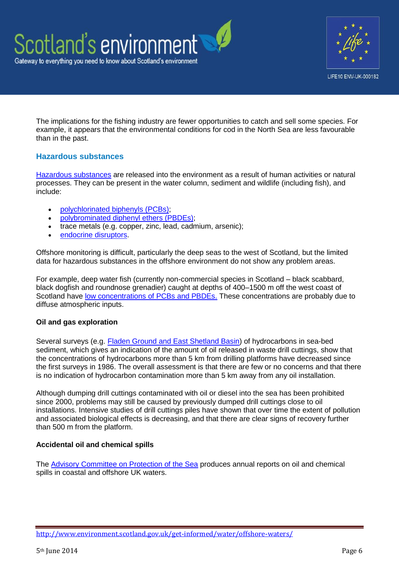

The implications for the fishing industry are fewer opportunities to catch and sell some species. For example, it appears that the environmental conditions for cod in the North Sea are less favourable than in the past.

# **Hazardous substances**

[Hazardous substances](http://www.scotland.gov.uk/Publications/2011/03/16182005/32) are released into the environment as a result of human activities or natural processes. They can be present in the water column, sediment and wildlife (including fish), and include:

- [polychlorinated biphenyls \(PCBs\);](http://www.ukmarinesac.org.uk/activities/water-quality/wq8_42.htm)
- [polybrominated diphenyl ethers \(PBDEs\);](http://toxipedia.org/display/toxipedia/Polybrominated+Diphenyl+Ethers+%28PBDEs%29)
- trace metals (e.g. copper, zinc, lead, cadmium, arsenic);
- [endocrine disruptors.](http://www.epa.gov/endo/pubs/edspoverview/whatare.htm)

Offshore monitoring is difficult, particularly the deep seas to the west of Scotland, but the limited data for hazardous substances in the offshore environment do not show any problem areas.

For example, deep water fish (currently non-commercial species in Scotland – black scabbard, black dogfish and roundnose grenadier) caught at depths of 400–1500 m off the west coast of Scotland have [low concentrations of PCBs and PBDEs.](http://www.ncbi.nlm.nih.gov/pubmed/21451877) These concentrations are probably due to diffuse atmospheric inputs.

# **Oil and gas exploration**

Several surveys (e.g. [Fladen Ground and East Shetland Basin\)](http://www.scotland.gov.uk/Topics/marine/Publications) of hydrocarbons in sea-bed sediment, which gives an indication of the amount of oil released in waste drill cuttings, show that the concentrations of hydrocarbons more than 5 km from drilling platforms have decreased since the first surveys in 1986. The overall assessment is that there are few or no concerns and that there is no indication of hydrocarbon contamination more than 5 km away from any oil installation.

Although dumping drill cuttings contaminated with oil or diesel into the sea has been prohibited since 2000, problems may still be caused by previously dumped drill cuttings close to oil installations. Intensive studies of drill cuttings piles have shown that over time the extent of pollution and associated biological effects is decreasing, and that there are clear signs of recovery further than 500 m from the platform.

# **Accidental oil and chemical spills**

The [Advisory Committee on Protection of the Sea](http://www.acops.org.uk/annual-reports/) produces annual reports on oil and chemical spills in coastal and offshore UK waters.

<http://www.environment.scotland.gov.uk/get-informed/water/offshore-waters/>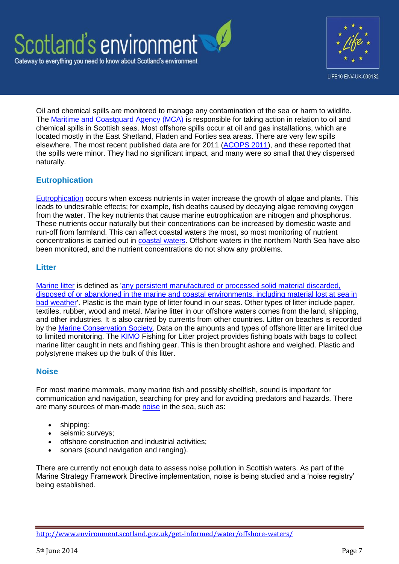



Oil and chemical spills are monitored to manage any contamination of the sea or harm to wildlife. The [Maritime and Coastguard Agency \(MCA\)](http://www.dft.gov.uk/mca/mcga07-home/emergencyresponse.htm) is responsible for taking action in relation to oil and chemical spills in Scottish seas. Most offshore spills occur at oil and gas installations, which are located mostly in the East Shetland, Fladen and Forties sea areas. There are very few spills elsewhere. The most recent published data are for 2011 [\(ACOPS 2011\)](http://www.acops.org.uk/documents/annual-marine-pollution-survey-2011.pdf), and these reported that the spills were minor. They had no significant impact, and many were so small that they dispersed naturally.

# **Eutrophication**

[Eutrophication](http://www.scotland.gov.uk/Publications/2011/03/16182005/38) occurs when excess nutrients in water increase the growth of algae and plants. This leads to undesirable effects; for example, fish deaths caused by decaying algae removing oxygen from the water. The key nutrients that cause marine eutrophication are nitrogen and phosphorus. These nutrients occur naturally but their concentrations can be increased by domestic waste and run-off from farmland. This can affect coastal waters the most, so most monitoring of nutrient concentrations is carried out in [coastal waters.](http://www.environment.scotland.gov.uk/get-informed/water/coastal-waters/) Offshore waters in the northern North Sea have also been monitored, and the nutrient concentrations do not show any problems.

# **Litter**

[Marine litter](http://www.scotland.gov.uk/Publications/2011/03/16182005/40) is defined as ['any persistent manufactured or processed solid material discarded,](http://www.unep.org/regionalseas/marinelitter/publications/docs/anl_oview.pdf)  [disposed of or abandoned in the marine and coastal environments, including material lost at sea in](http://www.unep.org/regionalseas/marinelitter/publications/docs/anl_oview.pdf)  [bad weather'.](http://www.unep.org/regionalseas/marinelitter/publications/docs/anl_oview.pdf) Plastic is the main type of litter found in our seas. Other types of litter include paper, textiles, rubber, wood and metal. Marine litter in our offshore waters comes from the land, shipping, and other industries. It is also carried by currents from other countries. Litter on beaches is recorded by the [Marine Conservation Society.](http://www.mcsuk.org/what_we_do/Clean+seas+and+beaches) Data on the amounts and types of offshore litter are limited due to limited monitoring. The [KIMO](http://www.kimointernational.org/Home.aspx) Fishing for Litter project provides fishing boats with bags to collect marine litter caught in nets and fishing gear. This is then brought ashore and weighed. Plastic and polystyrene makes up the bulk of this litter.

# **Noise**

For most marine mammals, many marine fish and possibly shellfish, sound is important for communication and navigation, searching for prey and for avoiding predators and hazards. There are many sources of man-made [noise](http://www.scotland.gov.uk/Publications/2011/03/16182005/42) in the sea, such as:

- shipping;
- seismic surveys;
- offshore construction and industrial activities;
- sonars (sound navigation and ranging).

There are currently not enough data to assess noise pollution in Scottish waters. As part of the Marine Strategy Framework Directive implementation, noise is being studied and a 'noise registry' being established.

<http://www.environment.scotland.gov.uk/get-informed/water/offshore-waters/>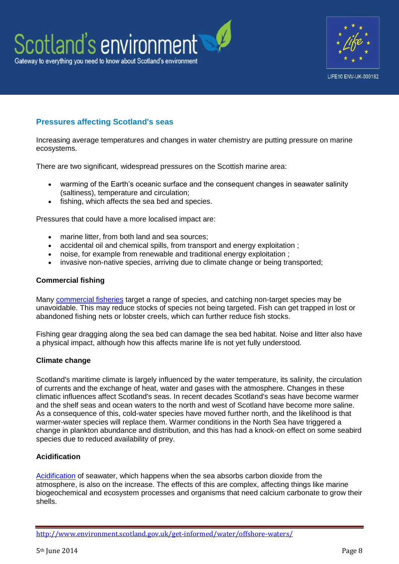



# **Pressures affecting Scotland's seas**

Increasing average temperatures and changes in water chemistry are putting pressure on marine ecosystems.

There are two significant, widespread pressures on the Scottish marine area:

- warming of the Earth's oceanic surface and the consequent changes in seawater salinity (saltiness), temperature and circulation;
- fishing, which affects the sea bed and species.

Pressures that could have a more localised impact are:

- marine litter, from both land and sea sources;
- accidental oil and chemical spills, from transport and energy exploitation ;
- noise, for example from renewable and traditional energy exploitation ;
- invasive non-native species, arriving due to climate change or being transported;

#### **Commercial fishing**

Many [commercial fisheries](http://www.scotland.gov.uk/Publications/2011/03/16182005/63) target a range of species, and catching non-target species may be unavoidable. This may reduce stocks of species not being targeted. Fish can get trapped in lost or abandoned fishing nets or lobster creels, which can further reduce fish stocks.

Fishing gear dragging along the sea bed can damage the sea bed habitat. Noise and litter also have a physical impact, although how this affects marine life is not yet fully understood.

## **Climate change**

Scotland's maritime climate is largely influenced by the water temperature, its salinity, the circulation of currents and the exchange of heat, water and gases with the atmosphere. Changes in these climatic influences affect Scotland's seas. In recent decades Scotland's seas have become warmer and the shelf seas and ocean waters to the north and west of Scotland have become more saline. As a consequence of this, cold-water species have moved further north, and the likelihood is that warmer-water species will replace them. Warmer conditions in the North Sea have triggered a change in plankton abundance and distribution, and this has had a knock-on effect on some seabird species due to reduced availability of prey.

## **Acidification**

[Acidification](http://www.scotland.gov.uk/Publications/2011/03/16182005/26) of seawater, which happens when the sea absorbs carbon dioxide from the atmosphere, is also on the increase. The effects of this are complex, affecting things like marine biogeochemical and ecosystem processes and organisms that need calcium carbonate to grow their shells.

<http://www.environment.scotland.gov.uk/get-informed/water/offshore-waters/>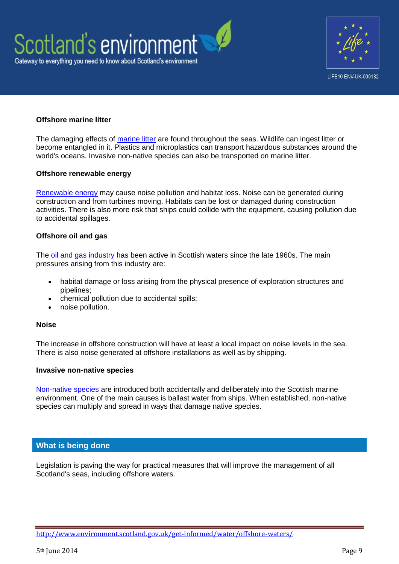



## **Offshore marine litter**

The damaging effects of [marine litter](http://www.scotland.gov.uk/Publications/2011/03/16182005/40) are found throughout the seas. Wildlife can ingest litter or become entangled in it. Plastics and microplastics can transport hazardous substances around the world's oceans. Invasive non-native species can also be transported on marine litter.

#### **Offshore renewable energy**

[Renewable energy](http://www.scotland.gov.uk/Publications/2011/03/16182005/68) may cause noise pollution and habitat loss. Noise can be generated during construction and from turbines moving. Habitats can be lost or damaged during construction activities. There is also more risk that ships could collide with the equipment, causing pollution due to accidental spillages.

#### **Offshore oil and gas**

The [oil and gas industry](http://www.scotland.gov.uk/Publications/2011/03/16182005/70) has been active in Scottish waters since the late 1960s. The main pressures arising from this industry are:

- habitat damage or loss arising from the physical presence of exploration structures and pipelines;
- chemical pollution due to accidental spills;
- noise pollution.

#### **Noise**

The increase in offshore construction will have at least a local impact on noise levels in the sea. There is also noise generated at offshore installations as well as by shipping.

#### **Invasive non-native species**

[Non-native species](http://www.scotland.gov.uk/Publications/2011/03/16182005/59) are introduced both accidentally and deliberately into the Scottish marine environment. One of the main causes is ballast water from ships. When established, non-native species can multiply and spread in ways that damage native species.

## **What is being done**

Legislation is paving the way for practical measures that will improve the management of all Scotland's seas, including offshore waters.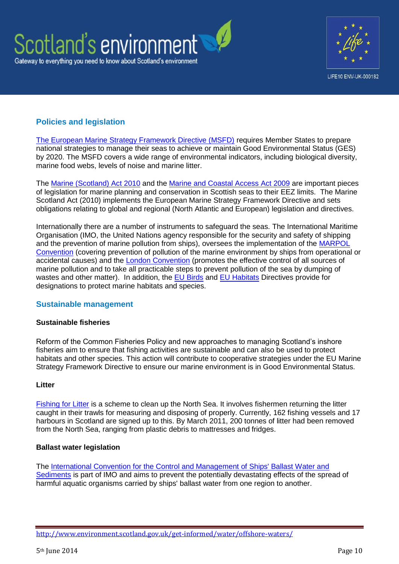



# **Policies and legislation**

[The European Marine Strategy Framework Directive \(MSFD\)](http://www.scotland.gov.uk/Topics/marine/seamanagement/msfd) requires Member States to prepare national strategies to manage their seas to achieve or maintain Good Environmental Status (GES) by 2020. The MSFD covers a wide range of environmental indicators, including biological diversity, marine food webs, levels of noise and marine litter.

The [Marine \(Scotland\) Act 2010](http://www.legislation.gov.uk/asp/2010/5/pdfs/asp_20100005_en.pdf) and the [Marine and Coastal Access Act 2009](http://www.legislation.gov.uk/ukpga/2009/23/contents) are important pieces of legislation for marine planning and conservation in Scottish seas to their EEZ limits. The Marine Scotland Act (2010) implements the European Marine Strategy Framework Directive and sets obligations relating to global and regional (North Atlantic and European) legislation and directives.

Internationally there are a number of instruments to safeguard the seas. The International Maritime Organisation (IMO, the United Nations agency responsible for the security and safety of shipping and the prevention of marine pollution from ships), oversees the implementation of the [MARPOL](http://www.imo.org/OurWork/Environment/PollutionPrevention/Pages/Default.aspx)  [Convention](http://www.imo.org/OurWork/Environment/PollutionPrevention/Pages/Default.aspx) (covering prevention of pollution of the marine environment by ships from operational or accidental causes) and the [London Convention](http://www.imo.org/OurWork/Environment/LCLP/Pages/default.aspx) (promotes the effective control of all sources of marine pollution and to take all practicable steps to prevent pollution of the sea by dumping of wastes and other matter). In addition, the [EU Birds](http://ec.europa.eu/environment/nature/legislation/birdsdirective/index_en.htm) and [EU Habitats](http://ec.europa.eu/environment/nature/legislation/habitatsdirective/index_en.htm) Directives provide for designations to protect marine habitats and species.

# **Sustainable management**

## **Sustainable fisheries**

Reform of the Common Fisheries Policy and new approaches to managing Scotland's inshore fisheries aim to ensure that fishing activities are sustainable and can also be used to protect habitats and other species. This action will contribute to cooperative strategies under the EU Marine Strategy Framework Directive to ensure our marine environment is in Good Environmental Status.

## **Litter**

[Fishing for Litter](http://www.kimointernational.org/Home.aspx) is a scheme to clean up the North Sea. It involves fishermen returning the litter caught in their trawls for measuring and disposing of properly. Currently, 162 fishing vessels and 17 harbours in Scotland are signed up to this. By March 2011, 200 tonnes of litter had been removed from the North Sea, ranging from plastic debris to mattresses and fridges.

## **Ballast water legislation**

The [International Convention for the Control and Management of Ships' Ballast Water and](http://www.imo.org/About/Conventions/ListOfConventions/Pages/International-Convention-for-the-Control-and-Management-of-Ships%27-Ballast-Water-and-Sediments-%28BWM%29.aspx)  [Sediments](http://www.imo.org/About/Conventions/ListOfConventions/Pages/International-Convention-for-the-Control-and-Management-of-Ships%27-Ballast-Water-and-Sediments-%28BWM%29.aspx) is part of IMO and aims to prevent the potentially devastating effects of the spread of harmful aquatic organisms carried by ships' ballast water from one region to another.

<http://www.environment.scotland.gov.uk/get-informed/water/offshore-waters/>